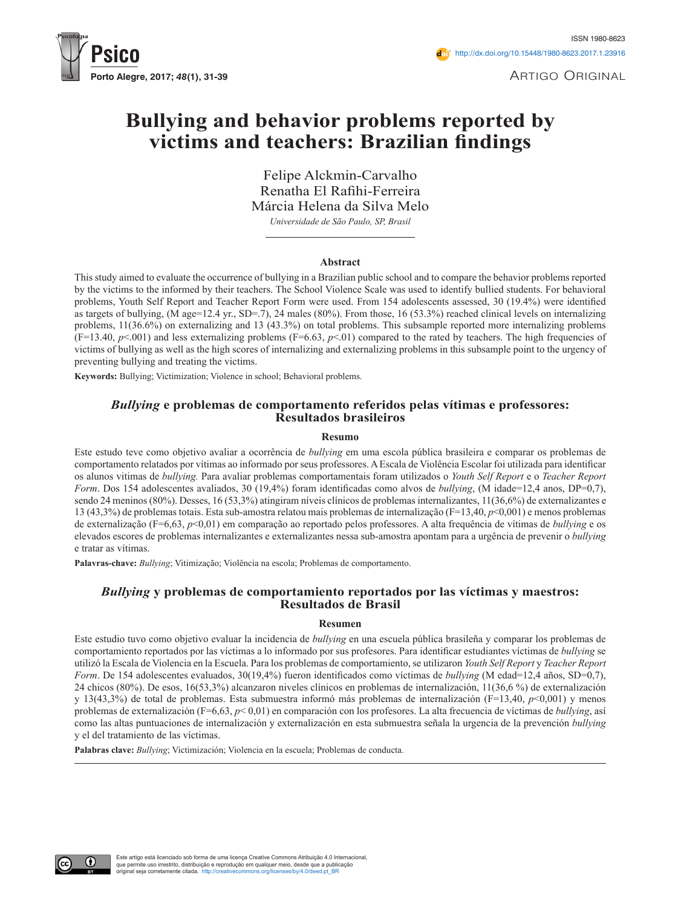

Artigo Original

# **Bullying and behavior problems reported by victims and teachers: Brazilian findings**

Felipe Alckmin-Carvalho Renatha El Rafihi-Ferreira Márcia Helena da Silva Melo *Universidade de São Paulo, SP, Brasil*

#### **Abstract**

This study aimed to evaluate the occurrence of bullying in a Brazilian public school and to compare the behavior problems reported by the victims to the informed by their teachers. The School Violence Scale was used to identify bullied students. For behavioral problems, Youth Self Report and Teacher Report Form were used. From 154 adolescents assessed, 30 (19.4%) were identified as targets of bullying, (M age=12.4 yr., SD=.7), 24 males (80%). From those, 16 (53.3%) reached clinical levels on internalizing problems, 11(36.6%) on externalizing and 13 (43.3%) on total problems. This subsample reported more internalizing problems  $(F=13.40, p<0.01)$  and less externalizing problems  $(F=6.63, p<0.01)$  compared to the rated by teachers. The high frequencies of victims of bullying as well as the high scores of internalizing and externalizing problems in this subsample point to the urgency of preventing bullying and treating the victims.

**Keywords:** Bullying; Victimization; Violence in school; Behavioral problems.

### *Bullying* **e problemas de comportamento referidos pelas vítimas e professores: Resultados brasileiros**

#### **Resumo**

Este estudo teve como objetivo avaliar a ocorrência de *bullying* em uma escola pública brasileira e comparar os problemas de comportamento relatados por vítimas ao informado por seus professores. A Escala de Violência Escolar foi utilizada para identificar os alunos vitimas de *bullying.* Para avaliar problemas comportamentais foram utilizados o *Youth Self Report* e o *Teacher Report Form*. Dos 154 adolescentes avaliados, 30 (19,4%) foram identificadas como alvos de *bullying*, (M idade=12,4 anos, DP=0,7), sendo 24 meninos (80%). Desses, 16 (53,3%) atingiram níveis clínicos de problemas internalizantes, 11(36,6%) de externalizantes e 13 (43,3%) de problemas totais. Esta sub-amostra relatou mais problemas de internalização (F=13,40, *p*<0,001) e menos problemas de externalização (F=6,63, *p*<0,01) em comparação ao reportado pelos professores. A alta frequência de vítimas de *bullying* e os elevados escores de problemas internalizantes e externalizantes nessa sub-amostra apontam para a urgência de prevenir o *bullying* e tratar as vítimas.

**Palavras-chave:** *Bullying*; Vitimização; Violência na escola; Problemas de comportamento.

#### *Bullying* **y problemas de comportamiento reportados por las víctimas y maestros: Resultados de Brasil**

#### **Resumen**

Este estudio tuvo como objetivo evaluar la incidencia de *bullying* en una escuela pública brasileña y comparar los problemas de comportamiento reportados por las víctimas a lo informado por sus profesores. Para identificar estudiantes víctimas de *bullying* se utilizó la Escala de Violencia en la Escuela. Para los problemas de comportamiento, se utilizaron *Youth Self Report* y *Teacher Report Form*. De 154 adolescentes evaluados, 30(19,4%) fueron identificados como víctimas de *bullying* (M edad=12,4 años, SD=0,7), 24 chicos (80%). De esos, 16(53,3%) alcanzaron niveles clínicos en problemas de internalización, 11(36,6 %) de externalización y 13(43,3%) de total de problemas. Esta submuestra informó más problemas de internalización (F=13,40, *p*<0,001) y menos problemas de externalización (F=6,63, *p*< 0,01) en comparación con los profesores. La alta frecuencia de víctimas de *bullying*, así como las altas puntuaciones de internalización y externalización en esta submuestra señala la urgencia de la prevención *bullying* y el del tratamiento de las víctimas.

**Palabras clave:** *Bullying*; Victimización; Violencia en la escuela; Problemas de conducta.

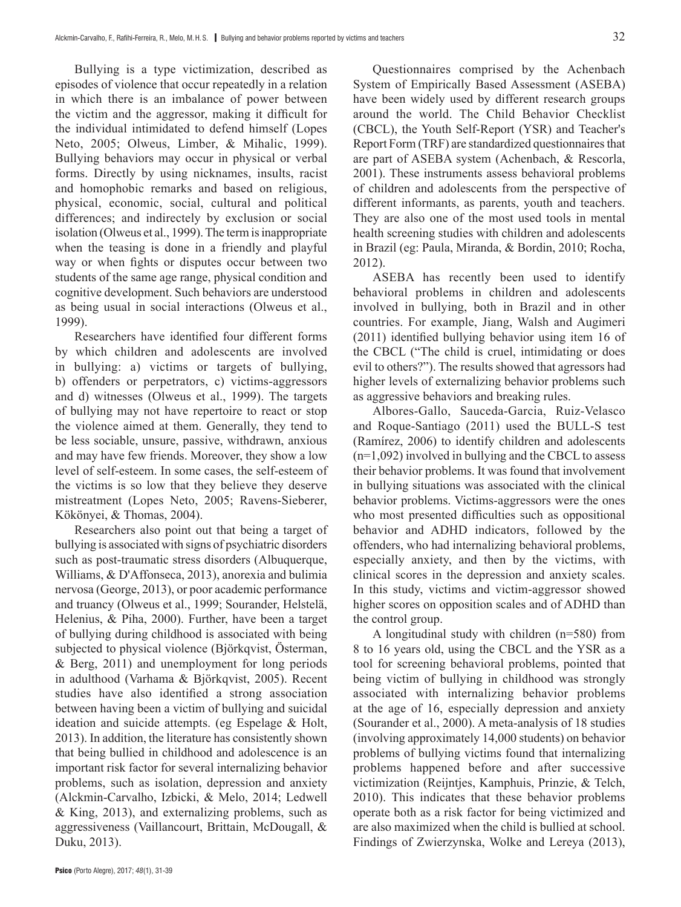Bullying is a type victimization, described as episodes of violence that occur repeatedly in a relation in which there is an imbalance of power between the victim and the aggressor, making it difficult for the individual intimidated to defend himself (Lopes Neto, 2005; Olweus, Limber, & Mihalic, 1999). Bullying behaviors may occur in physical or verbal forms. Directly by using nicknames, insults, racist and homophobic remarks and based on religious, physical, economic, social, cultural and political differences; and indirectely by exclusion or social isolation (Olweus et al., 1999). The term is inappropriate when the teasing is done in a friendly and playful way or when fights or disputes occur between two students of the same age range, physical condition and cognitive development. Such behaviors are understood as being usual in social interactions (Olweus et al., 1999).

Researchers have identified four different forms by which children and adolescents are involved in bullying: a) victims or targets of bullying, b) offenders or perpetrators, c) victims-aggressors and d) witnesses (Olweus et al., 1999). The targets of bullying may not have repertoire to react or stop the violence aimed at them. Generally, they tend to be less sociable, unsure, passive, withdrawn, anxious and may have few friends. Moreover, they show a low level of self-esteem. In some cases, the self-esteem of the victims is so low that they believe they deserve mistreatment (Lopes Neto, 2005; Ravens-Sieberer, Kökönyei, & Thomas, 2004).

Researchers also point out that being a target of bullying is associated with signs of psychiatric disorders such as post-traumatic stress disorders (Albuquerque, Williams, & D'Affonseca, 2013), anorexia and bulimia nervosa (George, 2013), or poor academic performance and truancy (Olweus et al., 1999; Sourander, Helstelä, Helenius, & Piha, 2000). Further, have been a target of bullying during childhood is associated with being subjected to physical violence (Björkqvist, Österman, & Berg, 2011) and unemployment for long periods in adulthood (Varhama & Björkqvist, 2005). Recent studies have also identified a strong association between having been a victim of bullying and suicidal ideation and suicide attempts. (eg Espelage & Holt, 2013). In addition, the literature has consistently shown that being bullied in childhood and adolescence is an important risk factor for several internalizing behavior problems, such as isolation, depression and anxiety (Alckmin-Carvalho, Izbicki, & Melo, 2014; Ledwell & King, 2013), and externalizing problems, such as aggressiveness (Vaillancourt, Brittain, McDougall, & Duku, 2013).

Questionnaires comprised by the Achenbach System of Empirically Based Assessment (ASEBA) have been widely used by different research groups around the world. The Child Behavior Checklist (CBCL), the Youth Self-Report (YSR) and Teacher's Report Form (TRF) are standardized questionnaires that are part of ASEBA system (Achenbach, & Rescorla, 2001). These instruments assess behavioral problems of children and adolescents from the perspective of different informants, as parents, youth and teachers. They are also one of the most used tools in mental health screening studies with children and adolescents in Brazil (eg: Paula, Miranda, & Bordin, 2010; Rocha, 2012).

ASEBA has recently been used to identify behavioral problems in children and adolescents involved in bullying, both in Brazil and in other countries. For example, Jiang, Walsh and Augimeri (2011) identified bullying behavior using item 16 of the CBCL ("The child is cruel, intimidating or does evil to others?"). The results showed that agressors had higher levels of externalizing behavior problems such as aggressive behaviors and breaking rules.

Albores-Gallo, Sauceda-Garcia, Ruiz-Velasco and Roque-Santiago (2011) used the BULL-S test (Ramírez, 2006) to identify children and adolescents (n=1,092) involved in bullying and the CBCL to assess their behavior problems. It was found that involvement in bullying situations was associated with the clinical behavior problems. Victims-aggressors were the ones who most presented difficulties such as oppositional behavior and ADHD indicators, followed by the offenders, who had internalizing behavioral problems, especially anxiety, and then by the victims, with clinical scores in the depression and anxiety scales. In this study, victims and victim-aggressor showed higher scores on opposition scales and of ADHD than the control group.

A longitudinal study with children (n=580) from 8 to 16 years old, using the CBCL and the YSR as a tool for screening behavioral problems, pointed that being victim of bullying in childhood was strongly associated with internalizing behavior problems at the age of 16, especially depression and anxiety (Sourander et al., 2000). A meta-analysis of 18 studies (involving approximately 14,000 students) on behavior problems of bullying victims found that internalizing problems happened before and after successive victimization (Reijntjes, Kamphuis, Prinzie, & Telch, 2010). This indicates that these behavior problems operate both as a risk factor for being victimized and are also maximized when the child is bullied at school. Findings of Zwierzynska, Wolke and Lereya (2013),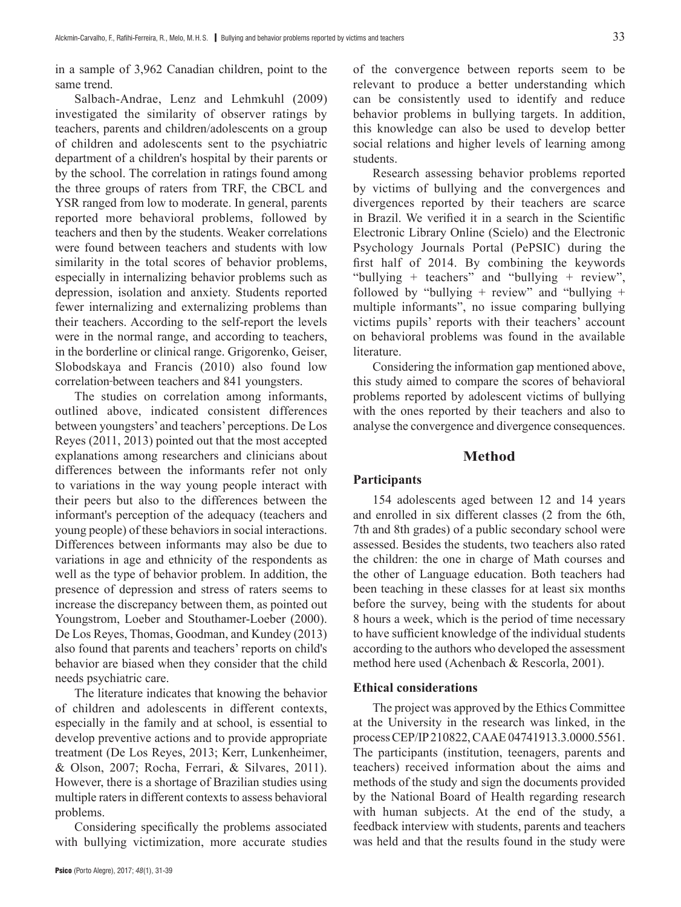in a sample of 3,962 Canadian children, point to the same trend.

Salbach-Andrae, Lenz and Lehmkuhl (2009) investigated the similarity of observer ratings by teachers, parents and children/adolescents on a group of children and adolescents sent to the psychiatric department of a children's hospital by their parents or by the school. The correlation in ratings found among the three groups of raters from TRF, the CBCL and YSR ranged from low to moderate. In general, parents reported more behavioral problems, followed by teachers and then by the students. Weaker correlations were found between teachers and students with low similarity in the total scores of behavior problems, especially in internalizing behavior problems such as depression, isolation and anxiety. Students reported fewer internalizing and externalizing problems than their teachers. According to the self-report the levels were in the normal range, and according to teachers, in the borderline or clinical range. Grigorenko, Geiser, Slobodskaya and Francis (2010) also found low correlation between teachers and 841 youngsters.

The studies on correlation among informants, outlined above, indicated consistent differences between youngsters' and teachers' perceptions. De Los Reyes (2011, 2013) pointed out that the most accepted explanations among researchers and clinicians about differences between the informants refer not only to variations in the way young people interact with their peers but also to the differences between the informant's perception of the adequacy (teachers and young people) of these behaviors in social interactions. Differences between informants may also be due to variations in age and ethnicity of the respondents as well as the type of behavior problem. In addition, the presence of depression and stress of raters seems to increase the discrepancy between them, as pointed out Youngstrom, Loeber and Stouthamer-Loeber (2000). De Los Reyes, Thomas, Goodman, and Kundey (2013) also found that parents and teachers' reports on child's behavior are biased when they consider that the child needs psychiatric care.

The literature indicates that knowing the behavior of children and adolescents in different contexts, especially in the family and at school, is essential to develop preventive actions and to provide appropriate treatment (De Los Reyes, 2013; Kerr, Lunkenheimer, & Olson, 2007; Rocha, Ferrari, & Silvares, 2011). However, there is a shortage of Brazilian studies using multiple raters in different contexts to assess behavioral problems.

Considering specifically the problems associated with bullying victimization, more accurate studies

of the convergence between reports seem to be relevant to produce a better understanding which can be consistently used to identify and reduce behavior problems in bullying targets. In addition, this knowledge can also be used to develop better social relations and higher levels of learning among students.

Research assessing behavior problems reported by victims of bullying and the convergences and divergences reported by their teachers are scarce in Brazil. We verified it in a search in the Scientific Electronic Library Online (Scielo) and the Electronic Psychology Journals Portal (PePSIC) during the first half of 2014. By combining the keywords "bullying + teachers" and "bullying + review", followed by "bullying  $+$  review" and "bullying  $+$ multiple informants", no issue comparing bullying victims pupils' reports with their teachers' account on behavioral problems was found in the available literature.

Considering the information gap mentioned above, this study aimed to compare the scores of behavioral problems reported by adolescent victims of bullying with the ones reported by their teachers and also to analyse the convergence and divergence consequences.

## **Method**

### **Participants**

154 adolescents aged between 12 and 14 years and enrolled in six different classes (2 from the 6th, 7th and 8th grades) of a public secondary school were assessed. Besides the students, two teachers also rated the children: the one in charge of Math courses and the other of Language education. Both teachers had been teaching in these classes for at least six months before the survey, being with the students for about 8 hours a week, which is the period of time necessary to have sufficient knowledge of the individual students according to the authors who developed the assessment method here used (Achenbach & Rescorla, 2001).

## **Ethical considerations**

The project was approved by the Ethics Committee at the University in the research was linked, in the process CEP/IP 210822, CAAE 04741913.3.0000.5561. The participants (institution, teenagers, parents and teachers) received information about the aims and methods of the study and sign the documents provided by the National Board of Health regarding research with human subjects. At the end of the study, a feedback interview with students, parents and teachers was held and that the results found in the study were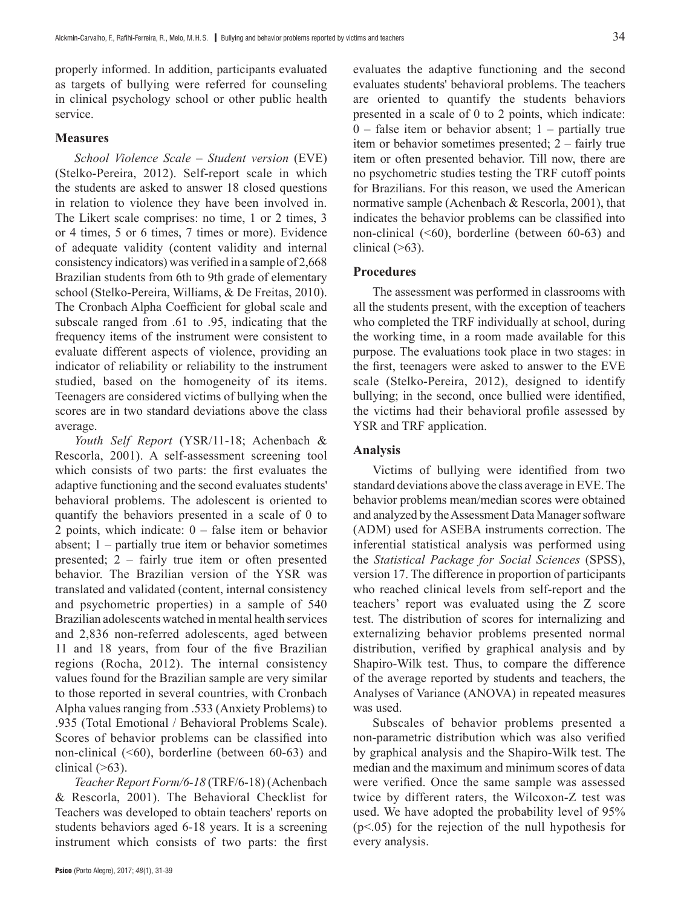properly informed. In addition, participants evaluated as targets of bullying were referred for counseling in clinical psychology school or other public health service.

### **Measures**

*School Violence Scale* – *Student version* (EVE) (Stelko-Pereira, 2012). Self-report scale in which the students are asked to answer 18 closed questions in relation to violence they have been involved in. The Likert scale comprises: no time, 1 or 2 times, 3 or 4 times, 5 or 6 times, 7 times or more). Evidence of adequate validity (content validity and internal consistency indicators) was verified in a sample of 2,668 Brazilian students from 6th to 9th grade of elementary school (Stelko-Pereira, Williams, & De Freitas, 2010). The Cronbach Alpha Coefficient for global scale and subscale ranged from .61 to .95, indicating that the frequency items of the instrument were consistent to evaluate different aspects of violence, providing an indicator of reliability or reliability to the instrument studied, based on the homogeneity of its items. Teenagers are considered victims of bullying when the scores are in two standard deviations above the class average.

*Youth Self Report* (YSR/11-18; Achenbach & Rescorla, 2001). A self-assessment screening tool which consists of two parts: the first evaluates the adaptive functioning and the second evaluates students' behavioral problems. The adolescent is oriented to quantify the behaviors presented in a scale of 0 to 2 points, which indicate: 0 – false item or behavior absent; 1 – partially true item or behavior sometimes presented; 2 – fairly true item or often presented behavior. The Brazilian version of the YSR was translated and validated (content, internal consistency and psychometric properties) in a sample of 540 Brazilian adolescents watched in mental health services and 2,836 non-referred adolescents, aged between 11 and 18 years, from four of the five Brazilian regions (Rocha, 2012). The internal consistency values found for the Brazilian sample are very similar to those reported in several countries, with Cronbach Alpha values ranging from .533 (Anxiety Problems) to .935 (Total Emotional / Behavioral Problems Scale). Scores of behavior problems can be classified into non-clinical (<60), borderline (between 60-63) and clinical  $($ >63).

*Teacher Report Form/6-18* (TRF/6-18) (Achenbach & Rescorla, 2001). The Behavioral Checklist for Teachers was developed to obtain teachers' reports on students behaviors aged 6-18 years. It is a screening instrument which consists of two parts: the first evaluates the adaptive functioning and the second evaluates students' behavioral problems. The teachers are oriented to quantify the students behaviors presented in a scale of 0 to 2 points, which indicate:  $0$  – false item or behavior absent;  $1$  – partially true item or behavior sometimes presented; 2 – fairly true item or often presented behavior. Till now, there are no psychometric studies testing the TRF cutoff points for Brazilians. For this reason, we used the American normative sample (Achenbach & Rescorla, 2001), that indicates the behavior problems can be classified into non-clinical (<60), borderline (between 60-63) and clinical  $($ >63).

### **Procedures**

The assessment was performed in classrooms with all the students present, with the exception of teachers who completed the TRF individually at school, during the working time, in a room made available for this purpose. The evaluations took place in two stages: in the first, teenagers were asked to answer to the EVE scale (Stelko-Pereira, 2012), designed to identify bullying; in the second, once bullied were identified, the victims had their behavioral profile assessed by YSR and TRF application.

## **Analysis**

Victims of bullying were identified from two standard deviations above the class average in EVE. The behavior problems mean/median scores were obtained and analyzed by the Assessment Data Manager software (ADM) used for ASEBA instruments correction. The inferential statistical analysis was performed using the *Statistical Package for Social Sciences* (SPSS), version 17. The difference in proportion of participants who reached clinical levels from self-report and the teachers' report was evaluated using the Z score test. The distribution of scores for internalizing and externalizing behavior problems presented normal distribution, verified by graphical analysis and by Shapiro-Wilk test. Thus, to compare the difference of the average reported by students and teachers, the Analyses of Variance (ANOVA) in repeated measures was used.

Subscales of behavior problems presented a non-parametric distribution which was also verified by graphical analysis and the Shapiro-Wilk test. The median and the maximum and minimum scores of data were verified. Once the same sample was assessed twice by different raters, the Wilcoxon-Z test was used. We have adopted the probability level of 95%  $(p<.05)$  for the rejection of the null hypothesis for every analysis.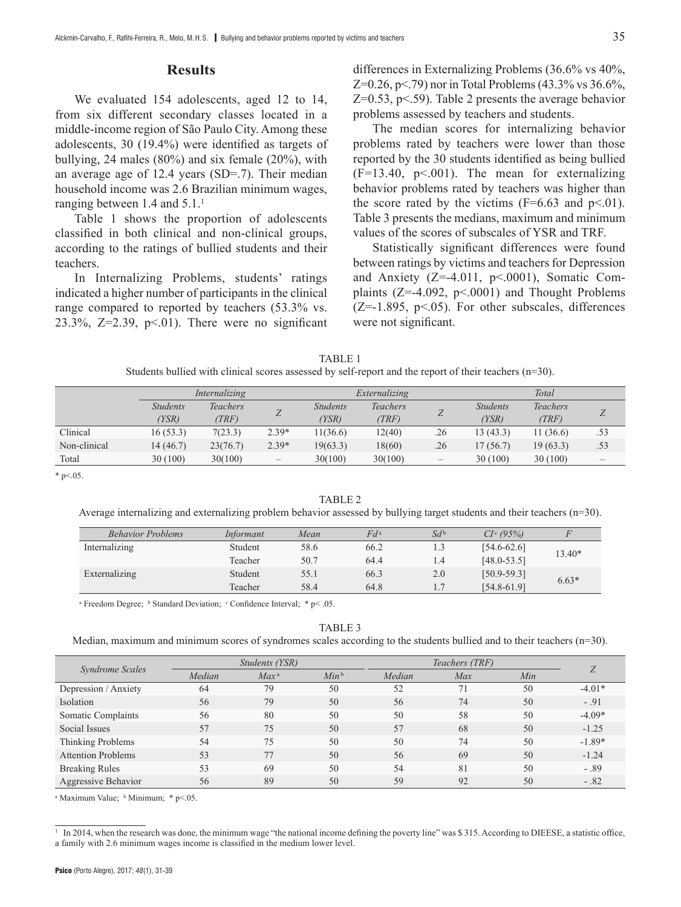## **Results**

We evaluated 154 adolescents, aged 12 to 14, from six different secondary classes located in a middle-income region of São Paulo City. Among these adolescents, 30 (19.4%) were identified as targets of bullying, 24 males (80%) and six female (20%), with an average age of 12.4 years (SD=.7). Their median household income was 2.6 Brazilian minimum wages, ranging between 1.4 and 5.1.<sup>1</sup>

Table 1 shows the proportion of adolescents classified in both clinical and non-clinical groups, according to the ratings of bullied students and their teachers.

In Internalizing Problems, students' ratings indicated a higher number of participants in the clinical range compared to reported by teachers (53.3% vs. 23.3%,  $Z=2.39$ ,  $p<01$ ). There were no significant differences in Externalizing Problems (36.6% vs 40%, Z=0.26, p < .79) nor in Total Problems (43.3% vs  $36.6\%$ ,  $Z=0.53$ ,  $p<0.59$ . Table 2 presents the average behavior problems assessed by teachers and students.

The median scores for internalizing behavior problems rated by teachers were lower than those reported by the 30 students identified as being bullied  $(F=13.40, p<0.001)$ . The mean for externalizing behavior problems rated by teachers was higher than the score rated by the victims  $(F=6.63$  and  $p<.01$ ). Table 3 presents the medians, maximum and minimum values of the scores of subscales of YSR and TRF.

Statistically significant differences were found between ratings by victims and teachers for Depression and Anxiety  $(Z=-4.011, p<0.001)$ , Somatic Complaints ( $Z=-4.092$ ,  $p<0.001$ ) and Thought Problems  $(Z=-1.895, p<0.65)$ . For other subscales, differences were not significant.

| TABLE 1                                                                                                   |  |
|-----------------------------------------------------------------------------------------------------------|--|
| Students bullied with clinical scores assessed by self-report and the report of their teachers $(n=30)$ . |  |

|              | Internalizing   |          |                          | Externalizing   |                 |                          | Total           |                 |                          |
|--------------|-----------------|----------|--------------------------|-----------------|-----------------|--------------------------|-----------------|-----------------|--------------------------|
|              | <b>Students</b> | Teachers |                          | <b>Students</b> | <b>Teachers</b> |                          | <b>Students</b> | <b>Teachers</b> | Z                        |
|              | (YSR)           | (TRF)    |                          | (YSR)           | (TRF)           | ∠                        | (YSR)           | (TRF)           |                          |
| Clinical     | 16(53.3)        | 7(23.3)  | $2.39*$                  | 11(36.6)        | 12(40)          | .26                      | 13(43.3)        | 11(36.6)        | .53                      |
| Non-clinical | 14(46.7)        | 23(76.7) | $2.39*$                  | 19(63.3)        | 18(60)          | .26                      | 17(56.7)        | 19(63.3)        | .53                      |
| Total        | 30(100)         | 30(100)  | $\overline{\phantom{m}}$ | 30(100)         | 30(100)         | $\overline{\phantom{0}}$ | 30(100)         | 30(100)         | $\overline{\phantom{m}}$ |

 $*$  p $< 0.05$ .

TABLE 2

Average internalizing and externalizing problem behavior assessed by bullying target students and their teachers (n=30).

| <b>Behavior Problems</b> | Informant | Mean | $Fd^{\rm a}$ | $Sd^{\mathfrak{b}}$ | $CI^c (95\%)$   |         |  |
|--------------------------|-----------|------|--------------|---------------------|-----------------|---------|--|
| Internalizing            | Student   | 58.6 | 66.2         | 1.3                 | $[54.6 - 62.6]$ | 13.40*  |  |
|                          | Teacher   | 50.7 | 64.4         | 1.4                 | $[48.0 - 53.5]$ |         |  |
| Externalizing            | Student   | 55.1 | 66.3         | 2.0                 | $[50.9 - 59.3]$ | $6.63*$ |  |
|                          | Teacher   | 58.4 | 64.8         |                     | $[54.8 - 61.9]$ |         |  |

<sup>a</sup> Freedom Degree; <sup>b</sup> Standard Deviation; <sup>c</sup> Confidence Interval; \* p< .05.

TABLE<sub>3</sub>

Median, maximum and minimum scores of syndromes scales according to the students bullied and to their teachers (n=30).

| <i><b>Syndrome Scales</b></i> | Students (YSR) |         |         | Teachers (TRF) |     |     |          |
|-------------------------------|----------------|---------|---------|----------------|-----|-----|----------|
|                               | Median         | $Max^a$ | $Min^b$ | Median         | Max | Min | Ζ        |
| Depression / Anxiety          | 64             | 79      | 50      | 52             | 71  | 50  | $-4.01*$ |
| Isolation                     | 56             | 79      | 50      | 56             | 74  | 50  | $-.91$   |
| Somatic Complaints            | 56             | 80      | 50      | 50             | 58  | 50  | $-4.09*$ |
| Social Issues                 | 57             | 75      | 50      | 57             | 68  | 50  | $-1.25$  |
| Thinking Problems             | 54             | 75      | 50      | 50             | 74  | 50  | $-1.89*$ |
| <b>Attention Problems</b>     | 53             | 77      | 50      | 56             | 69  | 50  | $-1.24$  |
| <b>Breaking Rules</b>         | 53             | 69      | 50      | 54             | 81  | 50  | $-.89$   |
| Aggressive Behavior           | 56             | 89      | 50      | 59             | 92  | 50  | $-.82$   |

<sup>a</sup> Maximum Value; <sup>b</sup> Minimum; \* p<.05.

<sup>1</sup> In 2014, when the research was done, the minimum wage "the national income defining the poverty line" was \$ 315. According to DIEESE, a statistic office, a family with 2.6 minimum wages income is classified in the medium lower level.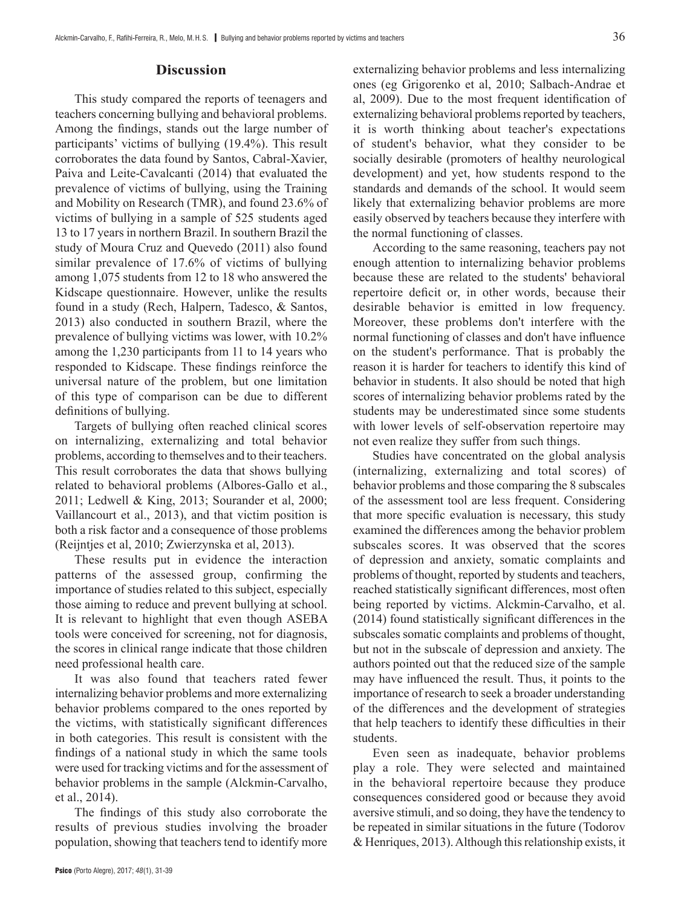## **Discussion**

This study compared the reports of teenagers and teachers concerning bullying and behavioral problems. Among the findings, stands out the large number of participants' victims of bullying (19.4%). This result corroborates the data found by Santos, Cabral-Xavier, Paiva and Leite-Cavalcanti (2014) that evaluated the prevalence of victims of bullying, using the Training and Mobility on Research (TMR), and found 23.6% of victims of bullying in a sample of 525 students aged 13 to 17 years in northern Brazil. In southern Brazil the study of Moura Cruz and Quevedo (2011) also found similar prevalence of 17.6% of victims of bullying among 1,075 students from 12 to 18 who answered the Kidscape questionnaire. However, unlike the results found in a study (Rech, Halpern, Tadesco, & Santos, 2013) also conducted in southern Brazil, where the prevalence of bullying victims was lower, with 10.2% among the 1,230 participants from 11 to 14 years who responded to Kidscape. These findings reinforce the universal nature of the problem, but one limitation of this type of comparison can be due to different definitions of bullying.

Targets of bullying often reached clinical scores on internalizing, externalizing and total behavior problems, according to themselves and to their teachers. This result corroborates the data that shows bullying related to behavioral problems (Albores-Gallo et al., 2011; Ledwell & King, 2013; Sourander et al, 2000; Vaillancourt et al., 2013), and that victim position is both a risk factor and a consequence of those problems (Reijntjes et al, 2010; Zwierzynska et al, 2013).

These results put in evidence the interaction patterns of the assessed group, confirming the importance of studies related to this subject, especially those aiming to reduce and prevent bullying at school. It is relevant to highlight that even though ASEBA tools were conceived for screening, not for diagnosis, the scores in clinical range indicate that those children need professional health care.

It was also found that teachers rated fewer internalizing behavior problems and more externalizing behavior problems compared to the ones reported by the victims, with statistically significant differences in both categories. This result is consistent with the findings of a national study in which the same tools were used for tracking victims and for the assessment of behavior problems in the sample (Alckmin-Carvalho, et al., 2014).

The findings of this study also corroborate the results of previous studies involving the broader population, showing that teachers tend to identify more

Psico (Porto Alegre), 2017; *48*(1), 31-39

externalizing behavior problems and less internalizing ones (eg Grigorenko et al, 2010; Salbach-Andrae et al, 2009). Due to the most frequent identification of externalizing behavioral problems reported by teachers, it is worth thinking about teacher's expectations of student's behavior, what they consider to be socially desirable (promoters of healthy neurological development) and yet, how students respond to the standards and demands of the school. It would seem likely that externalizing behavior problems are more easily observed by teachers because they interfere with the normal functioning of classes.

According to the same reasoning, teachers pay not enough attention to internalizing behavior problems because these are related to the students' behavioral repertoire deficit or, in other words, because their desirable behavior is emitted in low frequency. Moreover, these problems don't interfere with the normal functioning of classes and don't have influence on the student's performance. That is probably the reason it is harder for teachers to identify this kind of behavior in students. It also should be noted that high scores of internalizing behavior problems rated by the students may be underestimated since some students with lower levels of self-observation repertoire may not even realize they suffer from such things.

Studies have concentrated on the global analysis (internalizing, externalizing and total scores) of behavior problems and those comparing the 8 subscales of the assessment tool are less frequent. Considering that more specific evaluation is necessary, this study examined the differences among the behavior problem subscales scores. It was observed that the scores of depression and anxiety, somatic complaints and problems of thought, reported by students and teachers, reached statistically significant differences, most often being reported by victims. Alckmin-Carvalho, et al. (2014) found statistically significant differences in the subscales somatic complaints and problems of thought, but not in the subscale of depression and anxiety. The authors pointed out that the reduced size of the sample may have influenced the result. Thus, it points to the importance of research to seek a broader understanding of the differences and the development of strategies that help teachers to identify these difficulties in their students.

Even seen as inadequate, behavior problems play a role. They were selected and maintained in the behavioral repertoire because they produce consequences considered good or because they avoid aversive stimuli, and so doing, they have the tendency to be repeated in similar situations in the future (Todorov & Henriques, 2013). Although this relationship exists, it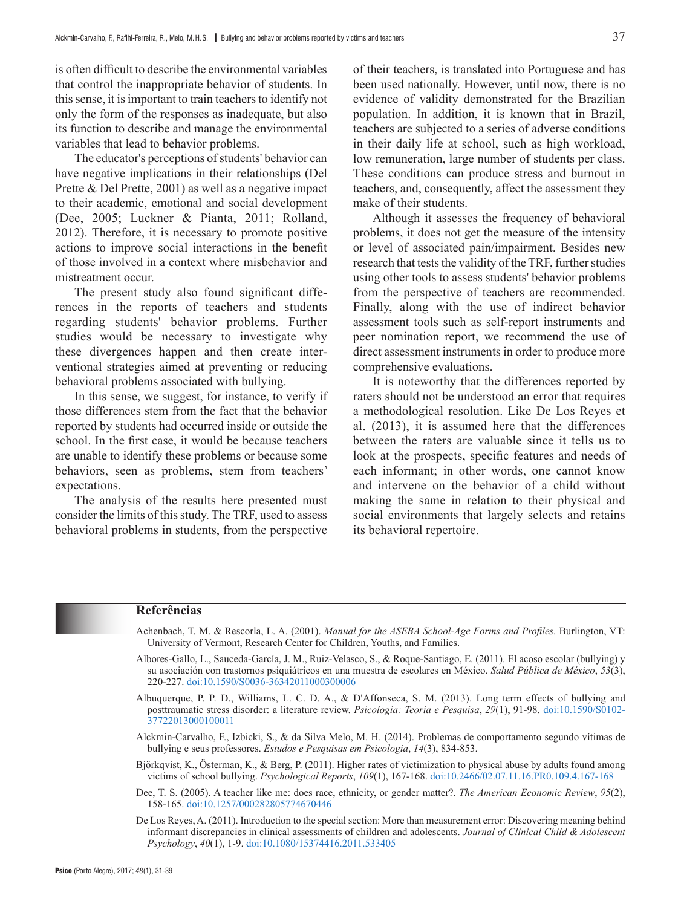is often difficult to describe the environmental variables that control the inappropriate behavior of students. In this sense, it is important to train teachers to identify not only the form of the responses as inadequate, but also its function to describe and manage the environmental variables that lead to behavior problems.

The educator's perceptions of students' behavior can have negative implications in their relationships (Del Prette & Del Prette, 2001) as well as a negative impact to their academic, emotional and social development (Dee, 2005; Luckner & Pianta, 2011; Rolland, 2012). Therefore, it is necessary to promote positive actions to improve social interactions in the benefit of those involved in a context where misbehavior and mistreatment occur.

The present study also found significant differences in the reports of teachers and students regarding students' behavior problems. Further studies would be necessary to investigate why these divergences happen and then create interventional strategies aimed at preventing or reducing behavioral problems associated with bullying.

In this sense, we suggest, for instance, to verify if those differences stem from the fact that the behavior reported by students had occurred inside or outside the school. In the first case, it would be because teachers are unable to identify these problems or because some behaviors, seen as problems, stem from teachers' expectations.

The analysis of the results here presented must consider the limits of this study. The TRF, used to assess behavioral problems in students, from the perspective of their teachers, is translated into Portuguese and has been used nationally. However, until now, there is no evidence of validity demonstrated for the Brazilian population. In addition, it is known that in Brazil, teachers are subjected to a series of adverse conditions in their daily life at school, such as high workload, low remuneration, large number of students per class. These conditions can produce stress and burnout in teachers, and, consequently, affect the assessment they make of their students.

Although it assesses the frequency of behavioral problems, it does not get the measure of the intensity or level of associated pain/impairment. Besides new research that tests the validity of the TRF, further studies using other tools to assess students' behavior problems from the perspective of teachers are recommended. Finally, along with the use of indirect behavior assessment tools such as self-report instruments and peer nomination report, we recommend the use of direct assessment instruments in order to produce more comprehensive evaluations.

It is noteworthy that the differences reported by raters should not be understood an error that requires a methodological resolution. Like De Los Reyes et al. (2013), it is assumed here that the differences between the raters are valuable since it tells us to look at the prospects, specific features and needs of each informant; in other words, one cannot know and intervene on the behavior of a child without making the same in relation to their physical and social environments that largely selects and retains its behavioral repertoire.

#### **Referências**

- Achenbach, T. M. & Rescorla, L. A. (2001). *Manual for the ASEBA School-Age Forms and Profiles*. Burlington, VT: University of Vermont, Research Center for Children, Youths, and Families.
- Albores-Gallo, L., Sauceda-García, J. M., Ruiz-Velasco, S., & Roque-Santiago, E. (2011). El acoso escolar (bullying) y su asociación con trastornos psiquiátricos en una muestra de escolares en México. *Salud Pública de México*, *53*(3), 220-227.<doi:10.1590/S0036-36342011000300006>
- Albuquerque, P. P. D., Williams, L. C. D. A., & D'Affonseca, S. M. (2013). Long term effects of bullying and posttraumatic stress disorder: a literature review. *Psicologia: Teoria e Pesquisa*, *29*(1), 91-98. [doi:10.1590/S0102-](doi:10.1590/S0102-37722013000100011) [37722013000100011](doi:10.1590/S0102-37722013000100011)
- Alckmin-Carvalho, F., Izbicki, S., & da Silva Melo, M. H. (2014). Problemas de comportamento segundo vítimas de bullying e seus professores. *Estudos e Pesquisas em Psicologia*, *14*(3), 834-853.
- Björkqvist, K., Österman, K., & Berg, P. (2011). Higher rates of victimization to physical abuse by adults found among victims of school bullying. *Psychological Reports*, *109*(1), 167-168.<doi:10.2466/02.07.11.16.PR0.109.4.167-168>
- Dee, T. S. (2005). A teacher like me: does race, ethnicity, or gender matter?. *The American Economic Review*, *95*(2), 158-165.<doi:10.1257/000282805774670446>
- De Los Reyes, A. (2011). Introduction to the special section: More than measurement error: Discovering meaning behind informant discrepancies in clinical assessments of children and adolescents. *Journal of Clinical Child & Adolescent Psychology*, *40*(1), 1-9.<doi:10.1080/15374416.2011.533405>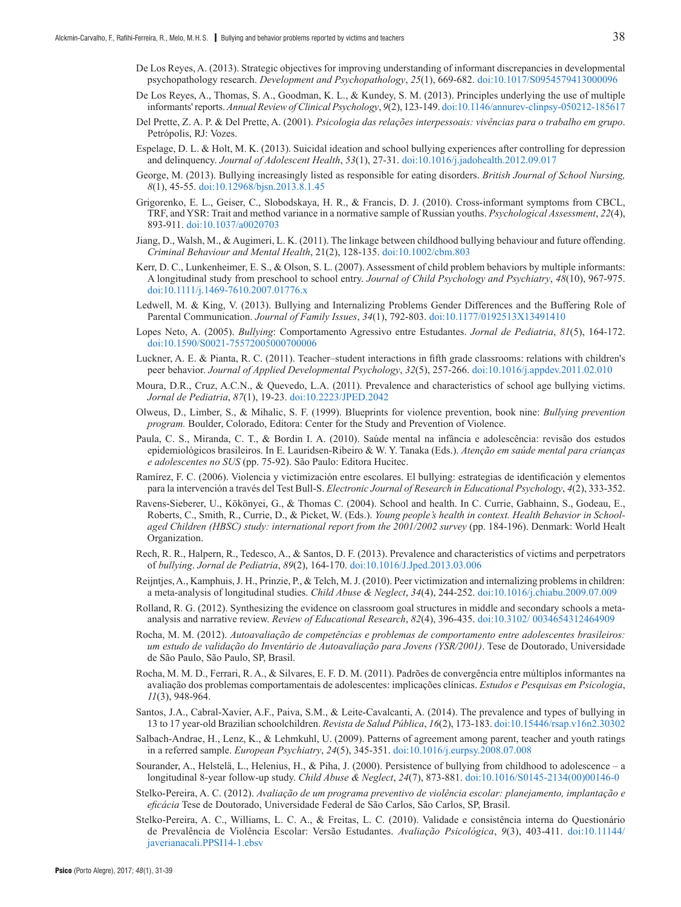- De Los Reyes, A. (2013). Strategic objectives for improving understanding of informant discrepancies in developmental psychopathology research. *Development and Psychopathology*, *25*(1), 669-682. <doi:10.1017/S0954579413000096>
- De Los Reyes, A., Thomas, S. A., Goodman, K. L., & Kundey, S. M. (2013). Principles underlying the use of multiple informants' reports. *Annual Review of Clinical Psychology*, *9*(2), 123-149.<doi:10.1146/annurev-clinpsy-050212-185617>
- Del Prette, Z. A. P. & Del Prette, A. (2001). *Psicologia das relações interpessoais: vivências para o trabalho em grupo*. Petrópolis, RJ: Vozes.
- Espelage, D. L. & Holt, M. K. (2013). Suicidal ideation and school bullying experiences after controlling for depression and delinquency. *Journal of Adolescent Health*, *53*(1), 27-31. <doi:10.1016/j.jadohealth.2012.09.017>
- George, M. (2013). Bullying increasingly listed as responsible for eating disorders. *British Journal of School Nursing, 8*(1), 45-55. <doi:10.12968/bjsn.2013.8.1.45>
- Grigorenko, E. L., Geiser, C., Slobodskaya, H. R., & Francis, D. J. (2010). Cross-informant symptoms from CBCL, TRF, and YSR: Trait and method variance in a normative sample of Russian youths. *Psychological Assessment*, *22*(4), 893-911.<doi:10.1037/a0020703>
- Jiang, D., Walsh, M., & Augimeri, L. K. (2011). The linkage between childhood bullying behaviour and future offending. *Criminal Behaviour and Mental Health*, 21(2), 128-135.<doi:10.1002/cbm.803>
- Kerr, D. C., Lunkenheimer, E. S., & Olson, S. L. (2007). Assessment of child problem behaviors by multiple informants: A longitudinal study from preschool to school entry. *Journal of Child Psychology and Psychiatry*, *48*(10), 967-975. <doi:10.1111/j.1469-7610.2007.01776.x>
- Ledwell, M. & King, V. (2013). Bullying and Internalizing Problems Gender Differences and the Buffering Role of Parental Communication. *Journal of Family Issues*, *34*(1), 792-803.<doi:10.1177/0192513X13491410>
- Lopes Neto, A. (2005). *Bullying*: Comportamento Agressivo entre Estudantes. *Jornal de Pediatria*, *81*(5), 164-172. <doi:10.1590/S0021-75572005000700006>
- Luckner, A. E. & Pianta, R. C. (2011). Teacher–student interactions in fifth grade classrooms: relations with children's peer behavior. *Journal of Applied Developmental Psychology*, *32*(5), 257-266.<doi:10.1016/j.appdev.2011.02.010>
- Moura, D.R., Cruz, A.C.N., & Quevedo, L.A. (2011). Prevalence and characteristics of school age bullying victims. *Jornal de Pediatria*, *87*(1), 19-23.<doi:10.2223/JPED.2042>
- Olweus, D., Limber, S., & Mihalic, S. F. (1999). Blueprints for violence prevention, book nine: *Bullying prevention program.* Boulder, Colorado, Editora: Center for the Study and Prevention of Violence.
- Paula, C. S., Miranda, C. T., & Bordin I. A. (2010). Saúde mental na infância e adolescência: revisão dos estudos epidemiológicos brasileiros. In E. Lauridsen-Ribeiro & W. Y. Tanaka (Eds.). *Atenção em saúde mental para crianças e adolescentes no SUS* (pp. 75-92). São Paulo: Editora Hucitec.
- Ramírez, F. C. (2006). Violencia y victimización entre escolares. El bullying: estrategias de identificación y elementos para la intervención a través del Test Bull-S. *Electronic Journal of Research in Educational Psychology*, *4*(2), 333-352.
- Ravens-Sieberer, U., Kökönyei, G., & Thomas C. (2004). School and health. In C. Currie, Gabhainn, S., Godeau, E., Roberts, C., Smith, R., Currie, D., & Picket, W. (Eds.). *Young people's health in context. Health Behavior in Schoolaged Children (HBSC) study: international report from the 2001/2002 survey* (pp. 184-196). Denmark: World Healt Organization.
- Rech, R. R., Halpern, R., Tedesco, A., & Santos, D. F. (2013). Prevalence and characteristics of victims and perpetrators of *bullying*. *Jornal de Pediatria*, *89*(2), 164-170.<doi:10.1016/J.Jped.2013.03.006>
- Reijntjes, A., Kamphuis, J. H., Prinzie, P., & Telch, M. J. (2010). Peer victimization and internalizing problems in children: a meta-analysis of longitudinal studies. *Child Abuse & Neglect*, *34*(4), 244-252. <doi:10.1016/j.chiabu.2009.07.009>
- Rolland, R. G. (2012). Synthesizing the evidence on classroom goal structures in middle and secondary schools a metaanalysis and narrative review. *Review of Educational Research*, *82*(4), 396-435. <doi:10.3102/ 0034654312464909>
- Rocha, M. M. (2012). *Autoavaliação de competências e problemas de comportamento entre adolescentes brasileiros: um estudo de validação do Inventário de Autoavaliação para Jovens (YSR/2001)*. Tese de Doutorado, Universidade de São Paulo, São Paulo, SP, Brasil.
- Rocha, M. M. D., Ferrari, R. A., & Silvares, E. F. D. M. (2011). Padrões de convergência entre múltiplos informantes na avaliação dos problemas comportamentais de adolescentes: implicações clínicas. *Estudos e Pesquisas em Psicologia*, *11*(3), 948-964.
- Santos, J.A., Cabral-Xavier, A.F., Paiva, S.M., & Leite-Cavalcanti, A. (2014). The prevalence and types of bullying in 13 to 17 year-old Brazilian schoolchildren. *Revista de Salud Pública*, *16*(2), 173-183.<doi:10.15446/rsap.v16n2.30302>
- Salbach-Andrae, H., Lenz, K., & Lehmkuhl, U. (2009). Patterns of agreement among parent, teacher and youth ratings in a referred sample. *European Psychiatry*, *24*(5), 345-351.<doi:10.1016/j.eurpsy.2008.07.008>
- Sourander, A., Helstelä, L., Helenius, H., & Piha, J. (2000). Persistence of bullying from childhood to adolescence a longitudinal 8-year follow-up study. *Child Abuse & Neglect*, *24*(7), 873-881. [doi:10.1016/S0145-2134\(00\)00146-0](doi:10.1016/S0145-2134(00)00146-0)
- Stelko-Pereira, A. C. (2012). *Avaliação de um programa preventivo de violência escolar: planejamento, implantação e eficácia* Tese de Doutorado, Universidade Federal de São Carlos, São Carlos, SP, Brasil.
- Stelko-Pereira, A. C., [Williams, L. C. A.](http://lattes.cnpq.br/6962646759651464), & Freitas, L. C. (2010). Validade e consistência interna do Questionário de Prevalência de Violência Escolar: Versão Estudantes. *Avaliação Psicológica*, *9*(3), 403-411. [doi:10.11144/](doi:10.11144/javerianacali.PPSI14-1.ebsv) [javerianacali.PPSI14-1.ebsv](doi:10.11144/javerianacali.PPSI14-1.ebsv)